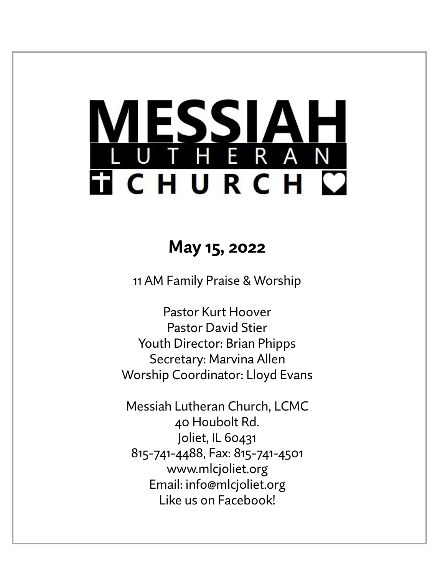# LESSIAH<br>UTHERAN **TICHURCH C**

# **May 15, 2022**

11 AM Family Praise & Worship

Pastor Kurt Hoover Pastor David Stier Youth Director: Brian Phipps Secretary: Marvina Allen Worship Coordinator: Lloyd Evans

Messiah Lutheran Church, LCMC 40 Houbolt Rd. Joliet, IL 60431 815-741-4488, Fax: 815-741-4501 www.mlcjoliet.org Email: info@mlcjoliet.org Like us on Facebook!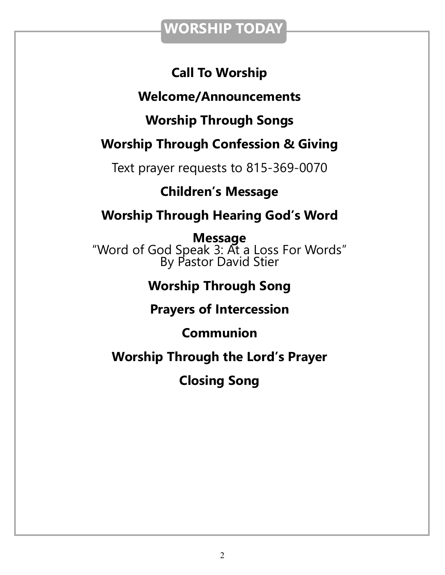## **WORSHIP TODAY**

## **Call To Worship**

## **Welcome/Announcements**

## **Worship Through Songs**

## **Worship Through Confession & Giving**

Text prayer requests to 815-369-0070

## **Children's Message**

## **Worship Through Hearing God's Word**

**Message** "Word of God Speak 3: At a Loss For Words" By Pastor David Stier

## **Worship Through Song**

## **Prayers of Intercession**

## **Communion**

## **Worship Through the Lord's Prayer**

**Closing Song**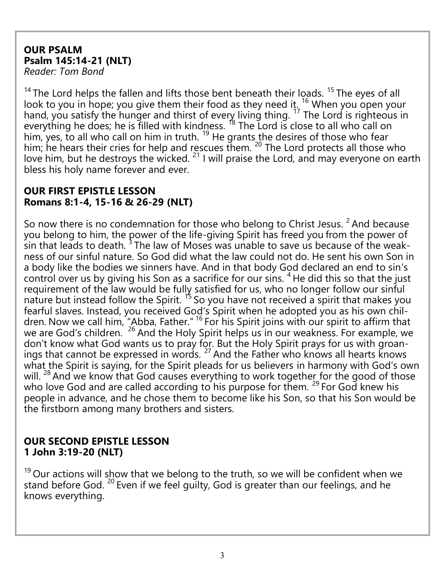#### **OUR PSALM Psalm 145:14-21 (NLT)**  *Reader: Tom Bond*

<sup>14</sup> The Lord helps the fallen and lifts those bent beneath their loads. <sup>15</sup> The eyes of all look to you in hope; you give them their food as they need it.  $16$  When you open your hand, you satisfy the hunger and thirst of every living thing.  $^{17}$  The Lord is righteous in everything he does; he is filled with kindness.  $\frac{18}{18}$  The Lord is close to all who call on him, yes, to all who call on him in truth.  $19$  He grants the desires of those who fear him; he hears their cries for help and rescues them. <sup>20</sup> The Lord protects all those who love him, but he destroys the wicked.<sup>21</sup> I will praise the Lord, and may everyone on earth bless his holy name forever and ever.

#### **OUR FIRST EPISTLE LESSON Romans 8:1-4, 15-16 & 26-29 (NLT)**

So now there is no condemnation for those who belong to Christ Jesus.  $2$  And because you belong to him, the power of the life-giving Spirit has freed you from the power of  $\frac{3}{5}$  in that leads to death.  $3$  The law of Moses was unable to save us because of the weakness of our sinful nature. So God did what the law could not do. He sent his own Son in a body like the bodies we sinners have. And in that body God declared an end to sin's control over us by giving his Son as a sacrifice for our sins. <sup>4</sup> He did this so that the just requirement of the law would be fully satisfied for us, who no longer follow our sinful nature but instead follow the Spirit.  $15$  So you have not received a spirit that makes you fearful slaves. Instead, you received God's Spirit when he adopted you as his own children. Now we call him, "Abba, Father." <sup>16</sup> For his Spirit joins with our spirit to affirm that we are God's children. <sup>26</sup> And the Holy Spirit helps us in our weakness. For example, we don't know what God wants us to pray for. But the Holy Spirit prays for us with groanings that cannot be expressed in words.  $^{27}$  And the Father who knows all hearts knows what the Spirit is saying, for the Spirit pleads for us believers in harmony with God's own will.<sup>28</sup> And we know that God causes everything to work together for the good of those who love God and are called according to his purpose for them.  $29$  For God knew his people in advance, and he chose them to become like his Son, so that his Son would be the firstborn among many brothers and sisters.

#### **OUR SECOND EPISTLE LESSON 1 John 3:19-20 (NLT)**

 $19$  Our actions will show that we belong to the truth, so we will be confident when we stand before God.<sup>20</sup> Even if we feel guilty, God is greater than our feelings, and he knows everything.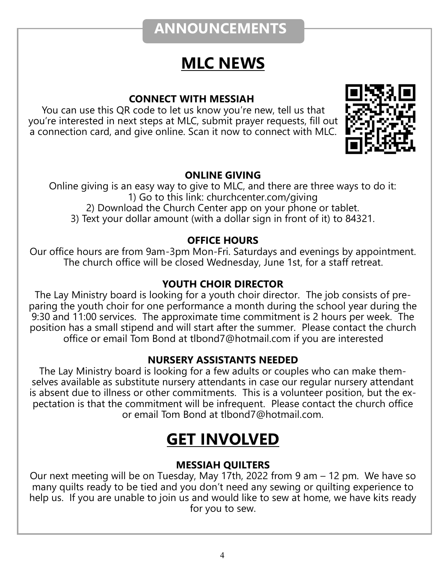## **ANNOUNCEMENTS**

# **MLC NEWS**

#### **CONNECT WITH MESSIAH**

You can use this QR code to let us know you're new, tell us that you're interested in next steps at MLC, submit prayer requests, fill out a connection card, and give online. Scan it now to connect with MLC.



#### **ONLINE GIVING**

Online giving is an easy way to give to MLC, and there are three ways to do it: 1) Go to this link: churchcenter.com/giving 2) Download the Church Center app on your phone or tablet. 3) Text your dollar amount (with a dollar sign in front of it) to 84321.

#### **OFFICE HOURS**

Our office hours are from 9am-3pm Mon-Fri. Saturdays and evenings by appointment. The church office will be closed Wednesday, June 1st, for a staff retreat.

#### **YOUTH CHOIR DIRECTOR**

The Lay Ministry board is looking for a youth choir director. The job consists of preparing the youth choir for one performance a month during the school year during the 9:30 and 11:00 services. The approximate time commitment is 2 hours per week. The position has a small stipend and will start after the summer. Please contact the church office or email Tom Bond at tlbond7@hotmail.com if you are interested

#### **NURSERY ASSISTANTS NEEDED**

The Lay Ministry board is looking for a few adults or couples who can make themselves available as substitute nursery attendants in case our regular nursery attendant is absent due to illness or other commitments. This is a volunteer position, but the expectation is that the commitment will be infrequent. Please contact the church office or email Tom Bond at tlbond7@hotmail.com.

# **GET INVOLVED**

#### **MESSIAH QUILTERS**

Our next meeting will be on Tuesday, May 17th, 2022 from 9 am – 12 pm. We have so many quilts ready to be tied and you don't need any sewing or quilting experience to help us. If you are unable to join us and would like to sew at home, we have kits ready for you to sew.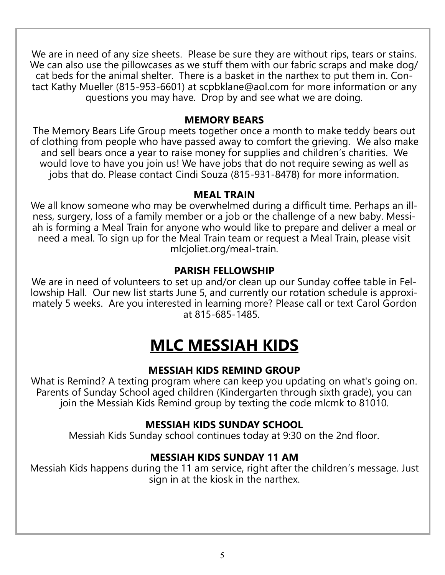We are in need of any size sheets. Please be sure they are without rips, tears or stains. We can also use the pillowcases as we stuff them with our fabric scraps and make dog/ cat beds for the animal shelter. There is a basket in the narthex to put them in. Contact Kathy Mueller (815-953-6601) at scpbklane@aol.com for more information or any questions you may have. Drop by and see what we are doing.

#### **MEMORY BEARS**

The Memory Bears Life Group meets together once a month to make teddy bears out of clothing from people who have passed away to comfort the grieving. We also make and sell bears once a year to raise money for supplies and children's charities. We would love to have you join us! We have jobs that do not require sewing as well as jobs that do. Please contact Cindi Souza (815-931-8478) for more information.

#### **MEAL TRAIN**

We all know someone who may be overwhelmed during a difficult time. Perhaps an illness, surgery, loss of a family member or a job or the challenge of a new baby. Messiah is forming a Meal Train for anyone who would like to prepare and deliver a meal or need a meal. To sign up for the Meal Train team or request a Meal Train, please visit mlcjoliet.org/meal-train.

#### **PARISH FELLOWSHIP**

We are in need of volunteers to set up and/or clean up our Sunday coffee table in Fellowship Hall. Our new list starts June 5, and currently our rotation schedule is approximately 5 weeks. Are you interested in learning more? Please call or text Carol Gordon at 815-685-1485.

# **MLC MESSIAH KIDS**

#### **MESSIAH KIDS REMIND GROUP**

What is Remind? A texting program where can keep you updating on what's going on. Parents of Sunday School aged children (Kindergarten through sixth grade), you can join the Messiah Kids Remind group by texting the code mlcmk to 81010.

#### **MESSIAH KIDS SUNDAY SCHOOL**

Messiah Kids Sunday school continues today at 9:30 on the 2nd floor.

#### **MESSIAH KIDS SUNDAY 11 AM**

Messiah Kids happens during the 11 am service, right after the children's message. Just sign in at the kiosk in the narthex.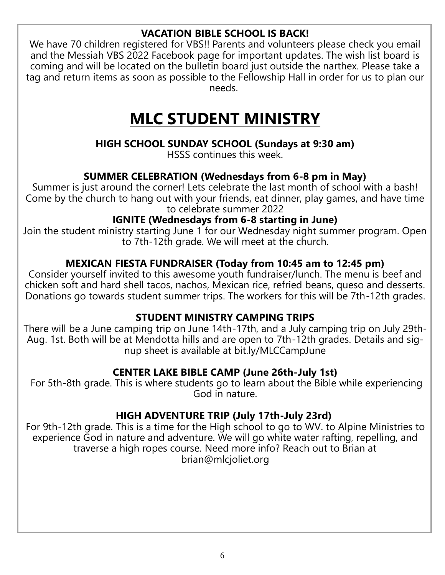#### **VACATION BIBLE SCHOOL IS BACK!**

We have 70 children registered for VBS!! Parents and volunteers please check you email and the Messiah VBS 2022 Facebook page for important updates. The wish list board is coming and will be located on the bulletin board just outside the narthex. Please take a tag and return items as soon as possible to the Fellowship Hall in order for us to plan our needs.

# **MLC STUDENT MINISTRY**

#### **HIGH SCHOOL SUNDAY SCHOOL (Sundays at 9:30 am)**

HSSS continues this week.

#### **SUMMER CELEBRATION (Wednesdays from 6-8 pm in May)**

Summer is just around the corner! Lets celebrate the last month of school with a bash! Come by the church to hang out with your friends, eat dinner, play games, and have time to celebrate summer 2022

#### **IGNITE (Wednesdays from 6-8 starting in June)**

Join the student ministry starting June 1 for our Wednesday night summer program. Open to 7th-12th grade. We will meet at the church.

#### **MEXICAN FIESTA FUNDRAISER (Today from 10:45 am to 12:45 pm)**

Consider yourself invited to this awesome youth fundraiser/lunch. The menu is beef and chicken soft and hard shell tacos, nachos, Mexican rice, refried beans, queso and desserts. Donations go towards student summer trips. The workers for this will be 7th-12th grades.

#### **STUDENT MINISTRY CAMPING TRIPS**

There will be a June camping trip on June 14th-17th, and a July camping trip on July 29th-Aug. 1st. Both will be at Mendotta hills and are open to 7th-12th grades. Details and signup sheet is available at bit.ly/MLCCampJune

#### **CENTER LAKE BIBLE CAMP (June 26th-July 1st)**

For 5th-8th grade. This is where students go to learn about the Bible while experiencing God in nature.

#### **HIGH ADVENTURE TRIP (July 17th-July 23rd)**

For 9th-12th grade. This is a time for the High school to go to WV. to Alpine Ministries to experience God in nature and adventure. We will go white water rafting, repelling, and traverse a high ropes course. Need more info? Reach out to Brian at brian@mlcjoliet.org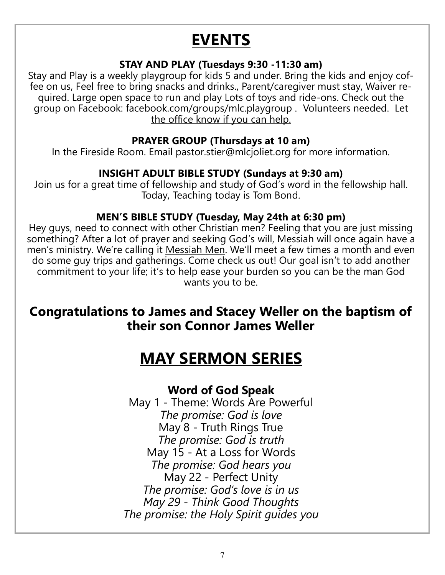# **EVENTS**

#### **STAY AND PLAY (Tuesdays 9:30 -11:30 am)**

Stay and Play is a weekly playgroup for kids 5 and under. Bring the kids and enjoy coffee on us, Feel free to bring snacks and drinks., Parent/caregiver must stay, Waiver required. Large open space to run and play Lots of toys and ride-ons. Check out the group on Facebook: facebook.com/groups/mlc.playgroup . Volunteers needed. Let the office know if you can help.

#### **PRAYER GROUP (Thursdays at 10 am)**

In the Fireside Room. Email pastor.stier@mlcjoliet.org for more information.

#### **INSIGHT ADULT BIBLE STUDY (Sundays at 9:30 am)**

Join us for a great time of fellowship and study of God's word in the fellowship hall. Today, Teaching today is Tom Bond.

#### **MEN'S BIBLE STUDY (Tuesday, May 24th at 6:30 pm)**

Hey guys, need to connect with other Christian men? Feeling that you are just missing something? After a lot of prayer and seeking God's will, Messiah will once again have a men's ministry. We're calling it Messiah Men. We'll meet a few times a month and even do some guy trips and gatherings. Come check us out! Our goal isn't to add another commitment to your life; it's to help ease your burden so you can be the man God wants you to be.

### **Congratulations to James and Stacey Weller on the baptism of their son Connor James Weller**

# **MAY SERMON SERIES**

#### **Word of God Speak**

May 1 - Theme: Words Are Powerful *The promise: God is love* May 8 - Truth Rings True *The promise: God is truth* May 15 - At a Loss for Words *The promise: God hears you* May 22 - Perfect Unity *The promise: God's love is in us May 29 - Think Good Thoughts The promise: the Holy Spirit guides you*